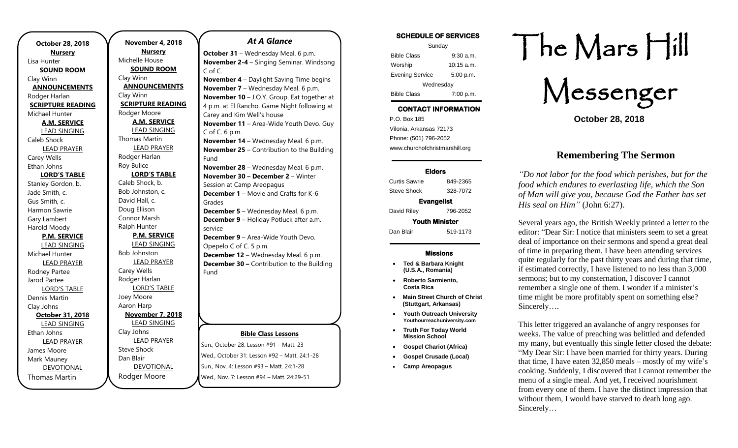**October 28, 2018 Nursery** Lisa Hunter **SOUND ROOM** Clay Winn **ANNOUNCEMENTS** Rodger Harlan **SCRIPTURE READING** Michael Hunter **A.M. SERVICE** LEAD SINGING Caleb Shock LEAD PRAYER Carey Wells Ethan Johns **LORD'S TABLE** Stanley Gordon, b. Jade Smith, c. Gus Smith, c. Harmon Sawrie Gary Lambert Harold Moody **P.M. SERVICE** LEAD SINGING Michael Hunter LEAD PRAYER Rodney Partee Jarod Partee LORD'S TABLE Dennis Martin Clay Johns **October 31, 2018** LEAD SINGING Ethan Johns LEAD PRAYER James Moore Mark Mauney DEVOTIONAL Thomas Martin

**November 4, 2018 Nursery** Michelle House **SOUND ROOM** Clay Winn **ANNOUNCEMENTS** Clay Winn **SCRIPTURE READING** Rodger Moore **A.M. SERVICE** LEAD SINGING Thomas Martin LEAD PRAYER Rodger Harlan Roy Bulice **LORD'S TABLE** Caleb Shock, b. Bob Johnston, c. David Hall, c. Doug Ellison Connor Marsh Ralph Hunter **P.M. SERVICE** LEAD SINGING Bob Johnston LEAD PRAYER Carey Wells Rodger Harlan LORD'S TABLE Joey Moore Aaron Harp **November 7, 2018** LEAD SINGING Clay Johns LEAD PRAYER Steve Shock Dan Blair DEVOTIONAL

Rodger Moore

## *At A Glance*

**October 31** – Wednesday Meal. 6 p.m. **November 2-4** – Singing Seminar. Windsong C of C.

**November 4** – Daylight Saving Time begins **November 7** – Wednesday Meal. 6 p.m. **November 10** – J.O.Y. Group. Eat together at 4 p.m. at El Rancho. Game Night following at Carey and Kim Well's house **November 11** – Area-Wide Youth Devo. Guy C of C. 6 p.m. **November 14** – Wednesday Meal. 6 p.m. **November 25** – Contribution to the Building Fund

**November 28** – Wednesday Meal. 6 p.m. **November 30 – December 2** – Winter Session at Camp Areopagus **December 1** – Movie and Crafts for K-6 Grades

**December 5** – Wednesday Meal. 6 p.m. **December 9** – Holiday Potluck after a.m. service

**December 9** – Area-Wide Youth Devo. Opepelo C of C. 5 p.m. **December 12** – Wednesday Meal. 6 p.m. **December 30 –** Contribution to the Building Fund

#### **Bible Class Lessons**

Sun., October 28: Lesson #91 – Matt. 23 Wed., October 31: Lesson #92 – Matt. 24:1-28 Sun., Nov. 4: Lesson #93 – Matt. 24:1-28 Wed., Nov. 7: Lesson #94 – Matt. 24:29-51

### **SCHEDULE OF SERVICES**

| Sunday                 |              |
|------------------------|--------------|
| <b>Bible Class</b>     | $9:30$ a.m.  |
| Worship                | $10:15$ a.m. |
| <b>Evening Service</b> | 5:00 p.m.    |
| Wednesday              |              |
| <b>Bible Class</b>     | 7:00 p.m.    |

## **CONTACT INFORMATION**

. .o. Box 166<br>Vilonia, Arkansas 72173 P.O. Box 185 Phone: (501) 796-2052 www.churchofchristmarshill.org

### **Elders**

Curtis Sawrie 849-2365 Steve Shock 328-7072 **Evangelist**  David Riley 796-2052

**Youth Minister** 

Dan Blair 519-1173

### **Missions**

- **Ted & Barbara Knight (U.S.A., Romania)**
- **Roberto Sarmiento, Costa Rica**
- **Main Street Church of Christ (Stuttgart, Arkansas)**
- **Youth Outreach University Youthourreachuniversity.com**
- **Truth For Today World Mission School**
- **Gospel Chariot (Africa)**
- **Gospel Crusade (Local)**
- **Camp Areopagus**

# The Mars Hill

Messenger

**October 28, 2018**

## **Remembering The Sermon**

*"Do not labor for the food which perishes, but for the food which endures to everlasting life, which the Son of Man will give you, because God the Father has set His seal on Him"* (John 6:27).

Several years ago, the British Weekly printed a letter to the editor: "Dear Sir: I notice that ministers seem to set a great deal of importance on their sermons and spend a great deal of time in preparing them. I have been attending services quite regularly for the past thirty years and during that time, if estimated correctly, I have listened to no less than 3,000 sermons; but to my consternation, I discover I cannot remember a single one of them. I wonder if a minister's time might be more profitably spent on something else? Sincerely….

This letter triggered an avalanche of angry responses for weeks. The value of preaching was belittled and defended my many, but eventually this single letter closed the debate: "My Dear Sir: I have been married for thirty years. During that time, I have eaten 32,850 meals – mostly of my wife's cooking. Suddenly, I discovered that I cannot remember the menu of a single meal. And yet, I received nourishment from every one of them. I have the distinct impression that without them, I would have starved to death long ago. Sincerely…